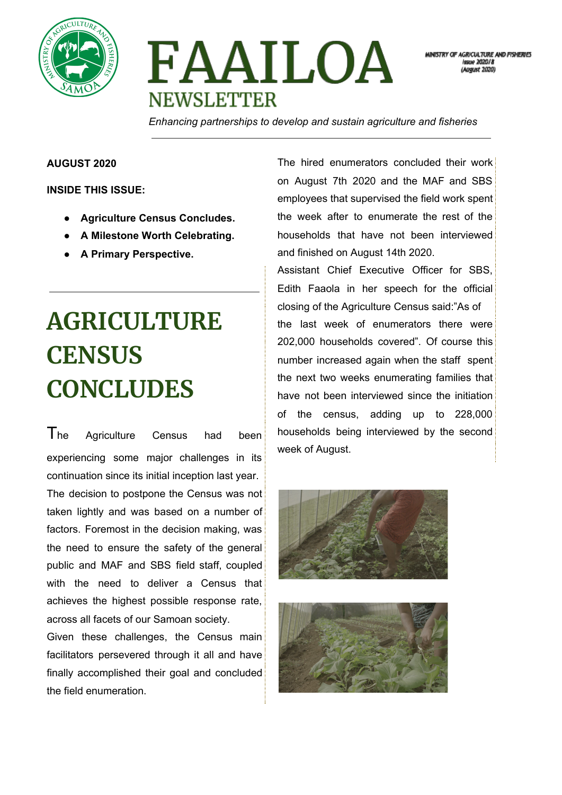



MINISTRY OF AGRICULTURE AND FISHERIES leano 2020/8 raust 2020)

*Enhancing partnerships to develop and sustain agriculture and fisheries*

#### **AUGUST 2020**

**INSIDE THIS ISSUE:**

- **● Agriculture Census Concludes.**
- **● A Milestone Worth Celebrating.**
- **● A Primary Perspective.**

# **AGRICULTURE CENSUS CONCLUDES**

The Agriculture Census had been experiencing some major challenges in its continuation since its initial inception last year. The decision to postpone the Census was not taken lightly and was based on a number of factors. Foremost in the decision making, was the need to ensure the safety of the general public and MAF and SBS field staff, coupled with the need to deliver a Census that achieves the highest possible response rate, across all facets of our Samoan society.

Given these challenges, the Census main facilitators persevered through it all and have finally accomplished their goal and concluded the field enumeration.

The hired enumerators concluded their work on August 7th 2020 and the MAF and SBS employees that supervised the field work spent the week after to enumerate the rest of the households that have not been interviewed and finished on August 14th 2020.

Assistant Chief Executive Officer for SBS, Edith Faaola in her speech for the official closing of the Agriculture Census said:"As of the last week of enumerators there were 202,000 households covered". Of course this number increased again when the staff spent the next two weeks enumerating families that have not been interviewed since the initiation of the census, adding up to 228,000 households being interviewed by the second week of August.



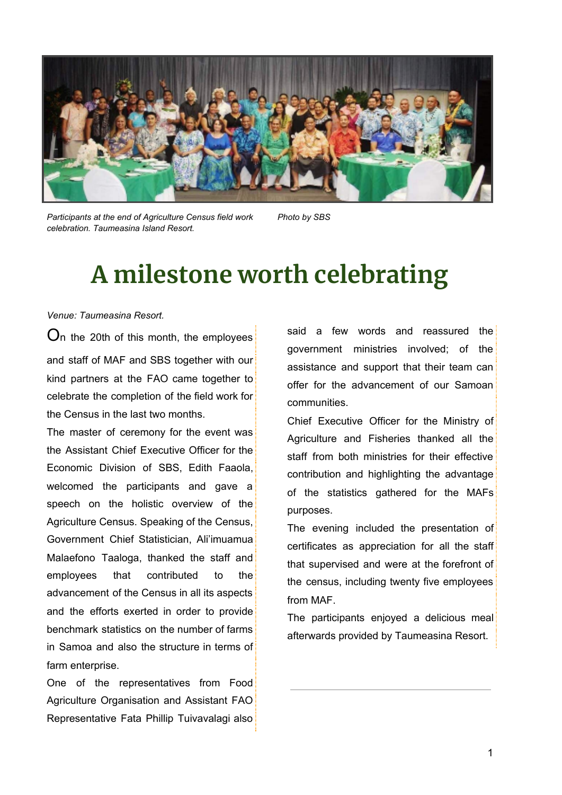

*Participants at the end of Agriculture Census field work celebration. Taumeasina Island Resort.*

*Photo by SBS*

### **A milestone worth celebrating**

#### *Venue: Taumeasina Resort.*

O<sup>n</sup> the 20th of this month, the employees and staff of MAF and SBS together with our kind partners at the FAO came together to celebrate the completion of the field work for the Census in the last two months.

The master of ceremony for the event was the Assistant Chief Executive Officer for the Economic Division of SBS, Edith Faaola, welcomed the participants and gave a speech on the holistic overview of the Agriculture Census. Speaking of the Census, Government Chief Statistician, Ali'imuamua Malaefono Taaloga, thanked the staff and employees that contributed to the advancement of the Census in all its aspects and the efforts exerted in order to provide benchmark statistics on the number of farms in Samoa and also the structure in terms of farm enterprise.

One of the representatives from Food Agriculture Organisation and Assistant FAO Representative Fata Phillip Tuivavalagi also

said a few words and reassured the government ministries involved; of the assistance and support that their team can offer for the advancement of our Samoan communities.

Chief Executive Officer for the Ministry of Agriculture and Fisheries thanked all the staff from both ministries for their effective contribution and highlighting the advantage of the statistics gathered for the MAFs purposes.

The evening included the presentation of certificates as appreciation for all the staff that supervised and were at the forefront of the census, including twenty five employees from MAF.

The participants enjoyed a delicious meal afterwards provided by Taumeasina Resort.